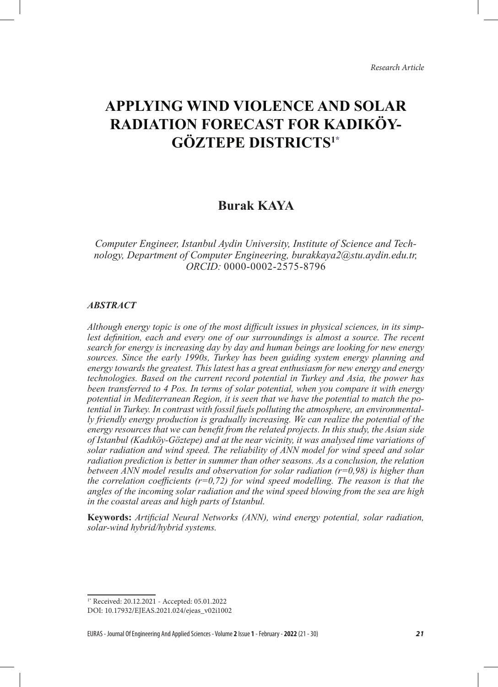# **APPLYING WIND VIOLENCE AND SOLAR RADIATION FORECAST FOR KADIKÖY-GÖZTEPE DISTRICTS1\***

## **Burak KAYA**

*Computer Engineer, Istanbul Aydin University, Institute of Science and Technology, Department of Computer Engineering, burakkaya2@stu.aydin.edu.tr, ORCID:* 0000-0002-2575-8796

#### *ABSTRACT*

*Although energy topic is one of the most difficult issues in physical sciences, in its simp*lest definition, each and every one of our surroundings is almost a source. The recent *search for energy is increasing day by day and human beings are looking for new energy sources. Since the early 1990s, Turkey has been guiding system energy planning and energy towards the greatest. This latest has a great enthusiasm for new energy and energy technologies. Based on the current record potential in Turkey and Asia, the power has been transferred to 4 Pos. In terms of solar potential, when you compare it with energy potential in Mediterranean Region, it is seen that we have the potential to match the potential in Turkey. In contrast with fossil fuels polluting the atmosphere, an environmentally friendly energy production is gradually increasing. We can realize the potential of the energy resources that we can benefit from the related projects. In this study, the Asian side of Istanbul (Kadıköy-Göztepe) and at the near vicinity, it was analysed time variations of solar radiation and wind speed. The reliability of ANN model for wind speed and solar radiation prediction is better in summer than other seasons. As a conclusion, the relation between ANN model results and observation for solar radiation (r=0,98) is higher than the correlation coefficients (r=0,72) for wind speed modelling. The reason is that the angles of the incoming solar radiation and the wind speed blowing from the sea are high in the coastal areas and high parts of Istanbul.*

**Keywords:** *Artificial Neural Networks (ANN), wind energy potential, solar radiation, solar-wind hybrid/hybrid systems.*

EURAS - Journal Of Engineering And Applied Sciences - Volume **2** Issue **1** - February - **2022** (21 - 30) *21*

<sup>1\*</sup> Received: 20.12.2021 - Accepted: 05.01.2022

DOI: 10.17932/EJEAS.2021.024/ejeas\_v02i1002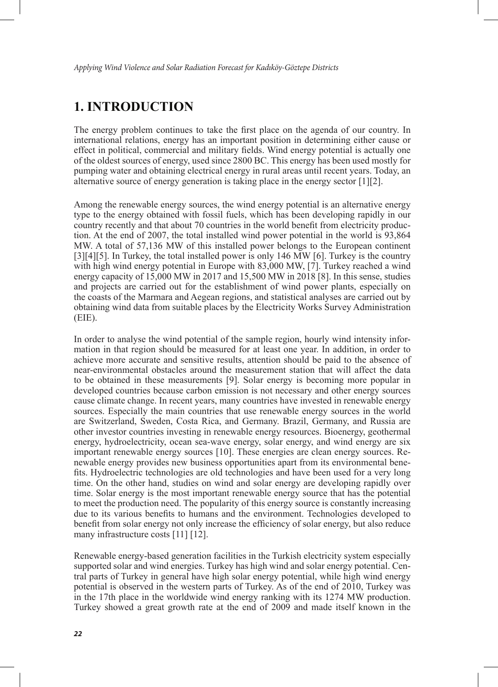### **1. INTRODUCTION**

The energy problem continues to take the first place on the agenda of our country. In international relations, energy has an important position in determining either cause or effect in political, commercial and military fields. Wind energy potential is actually one of the oldest sources of energy, used since 2800 BC. This energy has been used mostly for pumping water and obtaining electrical energy in rural areas until recent years. Today, an alternative source of energy generation is taking place in the energy sector [1][2].

Among the renewable energy sources, the wind energy potential is an alternative energy type to the energy obtained with fossil fuels, which has been developing rapidly in our country recently and that about 70 countries in the world benefit from electricity production. At the end of 2007, the total installed wind power potential in the world is 93,864 MW. A total of 57,136 MW of this installed power belongs to the European continent [3][4][5]. In Turkey, the total installed power is only 146 MW [6]. Turkey is the country with high wind energy potential in Europe with 83,000 MW, [7]. Turkey reached a wind energy capacity of 15,000 MW in 2017 and 15,500 MW in 2018 [8]. In this sense, studies and projects are carried out for the establishment of wind power plants, especially on the coasts of the Marmara and Aegean regions, and statistical analyses are carried out by obtaining wind data from suitable places by the Electricity Works Survey Administration (EIE).

In order to analyse the wind potential of the sample region, hourly wind intensity information in that region should be measured for at least one year. In addition, in order to achieve more accurate and sensitive results, attention should be paid to the absence of near-environmental obstacles around the measurement station that will affect the data to be obtained in these measurements [9]. Solar energy is becoming more popular in developed countries because carbon emission is not necessary and other energy sources cause climate change. In recent years, many countries have invested in renewable energy sources. Especially the main countries that use renewable energy sources in the world are Switzerland, Sweden, Costa Rica, and Germany. Brazil, Germany, and Russia are other investor countries investing in renewable energy resources. Bioenergy, geothermal energy, hydroelectricity, ocean sea-wave energy, solar energy, and wind energy are six important renewable energy sources [10]. These energies are clean energy sources. Renewable energy provides new business opportunities apart from its environmental benefits. Hydroelectric technologies are old technologies and have been used for a very long time. On the other hand, studies on wind and solar energy are developing rapidly over time. Solar energy is the most important renewable energy source that has the potential to meet the production need. The popularity of this energy source is constantly increasing due to its various benefits to humans and the environment. Technologies developed to benefit from solar energy not only increase the efficiency of solar energy, but also reduce many infrastructure costs [11] [12].

Renewable energy-based generation facilities in the Turkish electricity system especially supported solar and wind energies. Turkey has high wind and solar energy potential. Central parts of Turkey in general have high solar energy potential, while high wind energy potential is observed in the western parts of Turkey. As of the end of 2010, Turkey was in the 17th place in the worldwide wind energy ranking with its 1274 MW production. Turkey showed a great growth rate at the end of 2009 and made itself known in the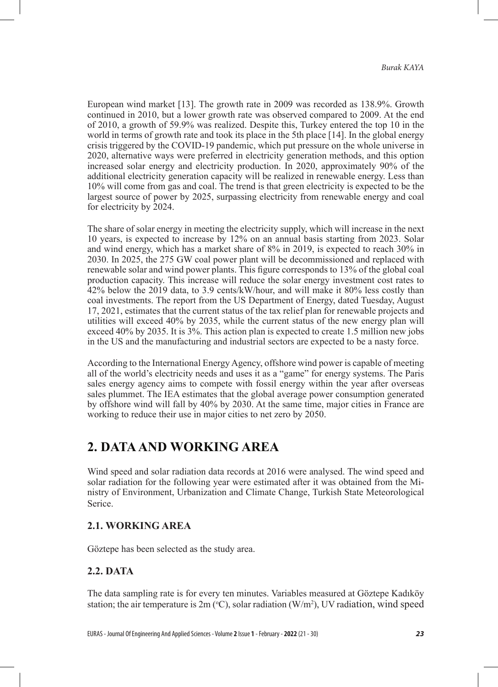European wind market [13]. The growth rate in 2009 was recorded as 138.9%. Growth continued in 2010, but a lower growth rate was observed compared to 2009. At the end of 2010, a growth of 59.9% was realized. Despite this, Turkey entered the top 10 in the world in terms of growth rate and took its place in the 5th place [14]. In the global energy crisis triggered by the COVID-19 pandemic, which put pressure on the whole universe in 2020, alternative ways were preferred in electricity generation methods, and this option increased solar energy and electricity production. In 2020, approximately 90% of the additional electricity generation capacity will be realized in renewable energy. Less than 10% will come from gas and coal. The trend is that green electricity is expected to be the largest source of power by 2025, surpassing electricity from renewable energy and coal for electricity by 2024.

The share of solar energy in meeting the electricity supply, which will increase in the next 10 years, is expected to increase by 12% on an annual basis starting from 2023. Solar and wind energy, which has a market share of 8% in 2019, is expected to reach 30% in 2030. In 2025, the 275 GW coal power plant will be decommissioned and replaced with renewable solar and wind power plants. This figure corresponds to 13% of the global coal production capacity. This increase will reduce the solar energy investment cost rates to 42% below the 2019 data, to 3.9 cents/kW/hour, and will make it 80% less costly than coal investments. The report from the US Department of Energy, dated Tuesday, August 17, 2021, estimates that the current status of the tax relief plan for renewable projects and utilities will exceed 40% by 2035, while the current status of the new energy plan will exceed 40% by 2035. It is 3%. This action plan is expected to create 1.5 million new jobs in the US and the manufacturing and industrial sectors are expected to be a nasty force.

According to the International Energy Agency, offshore wind power is capable of meeting all of the world's electricity needs and uses it as a "game" for energy systems. The Paris sales energy agency aims to compete with fossil energy within the year after overseas sales plummet. The IEA estimates that the global average power consumption generated by offshore wind will fall by 40% by 2030. At the same time, major cities in France are working to reduce their use in major cities to net zero by 2050.

## **2. DATA AND WORKING AREA**

Wind speed and solar radiation data records at 2016 were analysed. The wind speed and solar radiation for the following year were estimated after it was obtained from the Ministry of Environment, Urbanization and Climate Change, Turkish State Meteorological Serice.

### **2.1. WORKING AREA**

Göztepe has been selected as the study area.

### **2.2. DATA**

The data sampling rate is for every ten minutes. Variables measured at Göztepe Kadıköy station; the air temperature is  $2m$  (°C), solar radiation (W/m<sup>2</sup>), UV radiation, wind speed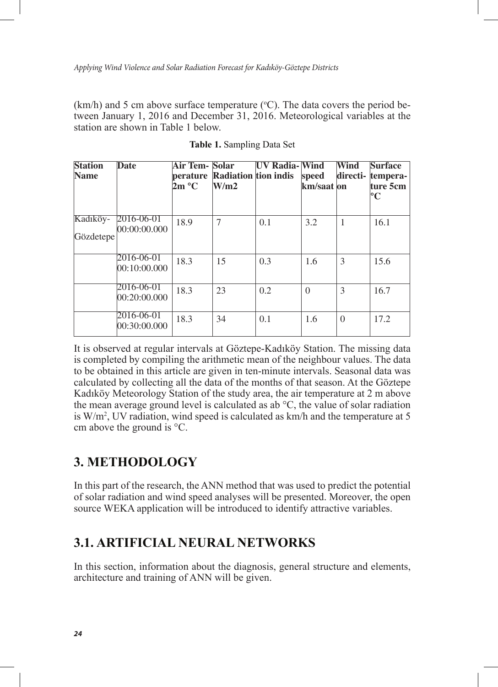$(km/h)$  and 5 cm above surface temperature (°C). The data covers the period between January 1, 2016 and December 31, 2016. Meteorological variables at the station are shown in Table 1 below.

| <b>Station</b> | <b>Date</b>                | <b>Air Tem- Solar</b> |                               | <b>UV Radia-Wind</b> |             | Wind         | <b>Surface</b> |
|----------------|----------------------------|-----------------------|-------------------------------|----------------------|-------------|--------------|----------------|
| <b>Name</b>    |                            |                       | perature Radiation tion indis |                      | speed       | directi-     | tempera-       |
|                |                            | 2m °C                 | W/m2                          |                      | km/saat  on |              | ture 5cm       |
|                |                            |                       |                               |                      |             |              | $\mathbf{C}$   |
| Kadıköy-       | 2016-06-01                 | 18.9                  | 7                             | 0.1                  | 3.2         | $\mathbf{1}$ | 16.1           |
| Gözdetepe      | 00:00:00.000               |                       |                               |                      |             |              |                |
|                | 2016-06-01<br>00:10:00.000 | 18.3                  | 15                            | 0.3                  | 1.6         | 3            | 15.6           |
|                | 2016-06-01<br>00:20:00.000 | 18.3                  | 23                            | 0.2                  | $\Omega$    | 3            | 16.7           |
|                | 2016-06-01<br>00:30:00.000 | 18.3                  | 34                            | 0.1                  | 1.6         | $\theta$     | 17.2           |

**Table 1.** Sampling Data Set

It is observed at regular intervals at Göztepe-Kadıköy Station. The missing data is completed by compiling the arithmetic mean of the neighbour values. The data to be obtained in this article are given in ten-minute intervals. Seasonal data was calculated by collecting all the data of the months of that season. At the Göztepe Kadıköy Meteorology Station of the study area, the air temperature at 2 m above the mean average ground level is calculated as ab °C, the value of solar radiation is W/m2 , UV radiation, wind speed is calculated as km/h and the temperature at 5 cm above the ground is °C.

## **3. METHODOLOGY**

In this part of the research, the ANN method that was used to predict the potential of solar radiation and wind speed analyses will be presented. Moreover, the open source WEKA application will be introduced to identify attractive variables.

## **3.1. ARTIFICIAL NEURAL NETWORKS**

In this section, information about the diagnosis, general structure and elements, architecture and training of ANN will be given.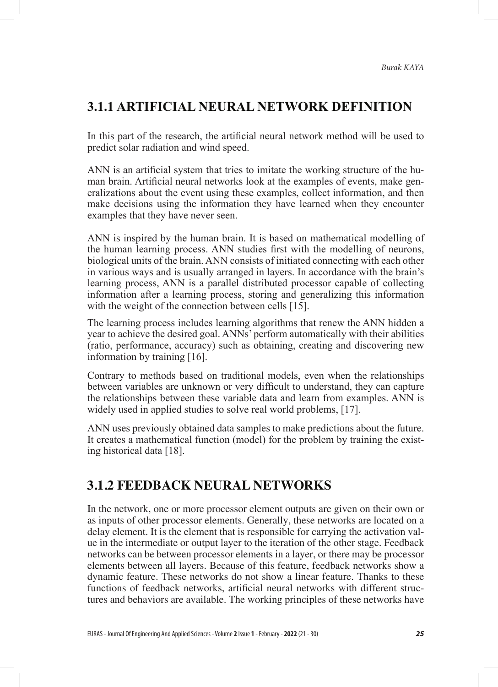## **3.1.1 ARTIFICIAL NEURAL NETWORK DEFINITION**

In this part of the research, the artificial neural network method will be used to predict solar radiation and wind speed.

ANN is an artificial system that tries to imitate the working structure of the human brain. Artificial neural networks look at the examples of events, make generalizations about the event using these examples, collect information, and then make decisions using the information they have learned when they encounter examples that they have never seen.

ANN is inspired by the human brain. It is based on mathematical modelling of the human learning process. ANN studies first with the modelling of neurons, biological units of the brain. ANN consists of initiated connecting with each other in various ways and is usually arranged in layers. In accordance with the brain's learning process, ANN is a parallel distributed processor capable of collecting information after a learning process, storing and generalizing this information with the weight of the connection between cells [15].

The learning process includes learning algorithms that renew the ANN hidden a year to achieve the desired goal. ANNs' perform automatically with their abilities (ratio, performance, accuracy) such as obtaining, creating and discovering new information by training [16].

Contrary to methods based on traditional models, even when the relationships between variables are unknown or very difficult to understand, they can capture the relationships between these variable data and learn from examples. ANN is widely used in applied studies to solve real world problems, [17].

ANN uses previously obtained data samples to make predictions about the future. It creates a mathematical function (model) for the problem by training the existing historical data [18].

## **3.1.2 FEEDBACK NEURAL NETWORKS**

In the network, one or more processor element outputs are given on their own or as inputs of other processor elements. Generally, these networks are located on a delay element. It is the element that is responsible for carrying the activation value in the intermediate or output layer to the iteration of the other stage. Feedback networks can be between processor elements in a layer, or there may be processor elements between all layers. Because of this feature, feedback networks show a dynamic feature. These networks do not show a linear feature. Thanks to these functions of feedback networks, artificial neural networks with different structures and behaviors are available. The working principles of these networks have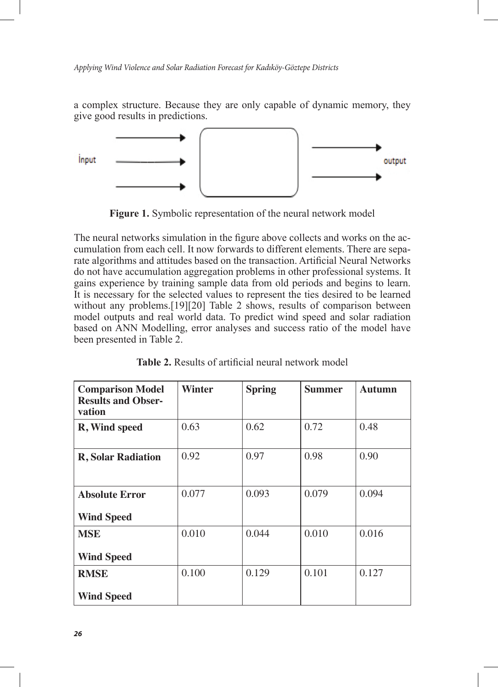a complex structure. Because they are only capable of dynamic memory, they give good results in predictions.



**Figure 1.** Symbolic representation of the neural network model

The neural networks simulation in the figure above collects and works on the accumulation from each cell. It now forwards to different elements. There are separate algorithms and attitudes based on the transaction. Artificial Neural Networks do not have accumulation aggregation problems in other professional systems. It gains experience by training sample data from old periods and begins to learn. It is necessary for the selected values to represent the ties desired to be learned without any problems.<sup>[19][20]</sup> Table 2 shows, results of comparison between model outputs and real world data. To predict wind speed and solar radiation based on ANN Modelling, error analyses and success ratio of the model have been presented in Table 2.

| <b>Comparison Model</b><br><b>Results and Obser-</b><br>vation | Winter | <b>Spring</b> | <b>Summer</b> | <b>Autumn</b> |
|----------------------------------------------------------------|--------|---------------|---------------|---------------|
| R, Wind speed                                                  | 0.63   | 0.62          | 0.72          | 0.48          |
| <b>R</b> , Solar Radiation                                     | 0.92   | 0.97          | 0.98          | 0.90          |
| <b>Absolute Error</b><br><b>Wind Speed</b>                     | 0.077  | 0.093         | 0.079         | 0.094         |
| <b>MSE</b><br><b>Wind Speed</b>                                | 0.010  | 0.044         | 0.010         | 0.016         |
| <b>RMSE</b><br><b>Wind Speed</b>                               | 0.100  | 0.129         | 0.101         | 0.127         |

**Table 2.** Results of artificial neural network model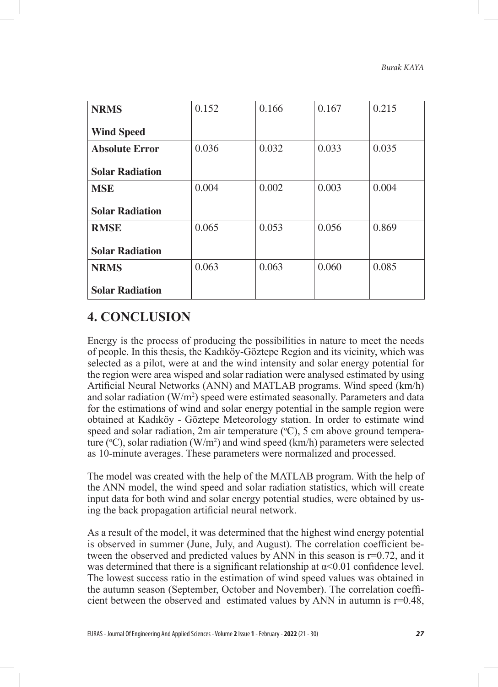| <b>NRMS</b>            | 0.152 | 0.166 | 0.167 | 0.215 |
|------------------------|-------|-------|-------|-------|
| <b>Wind Speed</b>      |       |       |       |       |
| <b>Absolute Error</b>  | 0.036 | 0.032 | 0.033 | 0.035 |
| <b>Solar Radiation</b> |       |       |       |       |
| <b>MSE</b>             | 0.004 | 0.002 | 0.003 | 0.004 |
| <b>Solar Radiation</b> |       |       |       |       |
| <b>RMSE</b>            | 0.065 | 0.053 | 0.056 | 0.869 |
| <b>Solar Radiation</b> |       |       |       |       |
| <b>NRMS</b>            | 0.063 | 0.063 | 0.060 | 0.085 |
| <b>Solar Radiation</b> |       |       |       |       |

## **4. CONCLUSION**

Energy is the process of producing the possibilities in nature to meet the needs of people. In this thesis, the Kadıköy-Göztepe Region and its vicinity, which was selected as a pilot, were at and the wind intensity and solar energy potential for the region were area wisped and solar radiation were analysed estimated by using Artificial Neural Networks (ANN) and MATLAB programs. Wind speed (km/h) and solar radiation  $(W/m^2)$  speed were estimated seasonally. Parameters and data for the estimations of wind and solar energy potential in the sample region were obtained at Kadıköy - Göztepe Meteorology station. In order to estimate wind speed and solar radiation, 2m air temperature  $({}^{\circ}C)$ , 5 cm above ground temperature ( $\rm{^o}C$ ), solar radiation (W/m<sup>2</sup>) and wind speed (km/h) parameters were selected as 10-minute averages. These parameters were normalized and processed.

The model was created with the help of the MATLAB program. With the help of the ANN model, the wind speed and solar radiation statistics, which will create input data for both wind and solar energy potential studies, were obtained by using the back propagation artificial neural network.

As a result of the model, it was determined that the highest wind energy potential is observed in summer (June, July, and August). The correlation coefficient between the observed and predicted values by ANN in this season is r=0.72, and it was determined that there is a significant relationship at  $\alpha$ <0.01 confidence level. The lowest success ratio in the estimation of wind speed values was obtained in the autumn season (September, October and November). The correlation coefficient between the observed and estimated values by ANN in autumn is r=0.48,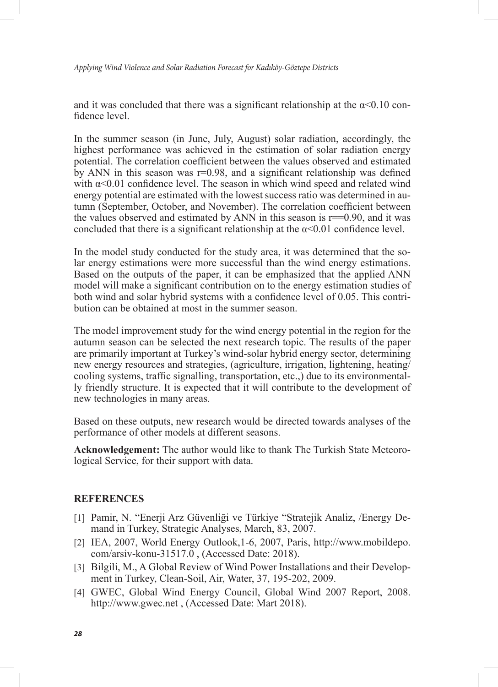*Applying Wind Violence and Solar Radiation Forecast for Kadıköy-Göztepe Districts*

and it was concluded that there was a significant relationship at the  $\alpha$ <0.10 confidence level.

In the summer season (in June, July, August) solar radiation, accordingly, the highest performance was achieved in the estimation of solar radiation energy potential. The correlation coefficient between the values observed and estimated by ANN in this season was r=0.98, and a significant relationship was defined with  $\alpha$ <0.01 confidence level. The season in which wind speed and related wind energy potential are estimated with the lowest success ratio was determined in autumn (September, October, and November). The correlation coefficient between the values observed and estimated by ANN in this season is  $r = 0.90$ , and it was concluded that there is a significant relationship at the  $\alpha$ <0.01 confidence level.

In the model study conducted for the study area, it was determined that the solar energy estimations were more successful than the wind energy estimations. Based on the outputs of the paper, it can be emphasized that the applied ANN model will make a significant contribution on to the energy estimation studies of both wind and solar hybrid systems with a confidence level of 0.05. This contribution can be obtained at most in the summer season.

The model improvement study for the wind energy potential in the region for the autumn season can be selected the next research topic. The results of the paper are primarily important at Turkey's wind-solar hybrid energy sector, determining new energy resources and strategies, (agriculture, irrigation, lightening, heating/ cooling systems, traffic signalling, transportation, etc.,) due to its environmentally friendly structure. It is expected that it will contribute to the development of new technologies in many areas.

Based on these outputs, new research would be directed towards analyses of the performance of other models at different seasons.

**Acknowledgement:** The author would like to thank The Turkish State Meteorological Service, for their support with data.

### **REFERENCES**

- [1] Pamir, N. "Enerji Arz Güvenliği ve Türkiye "Stratejik Analiz, /Energy Demand in Turkey, Strategic Analyses, March, 83, 2007.
- [2] IEA, 2007, World Energy Outlook,1-6, 2007, Paris, http://www.mobildepo. com/arsiv-konu-31517.0 , (Accessed Date: 2018).
- [3] Bilgili, M., A Global Review of Wind Power Installations and their Development in Turkey, Clean-Soil, Air, Water, 37, 195-202, 2009.
- [4] GWEC, Global Wind Energy Council, Global Wind 2007 Report, 2008. http://www.gwec.net , (Accessed Date: Mart 2018).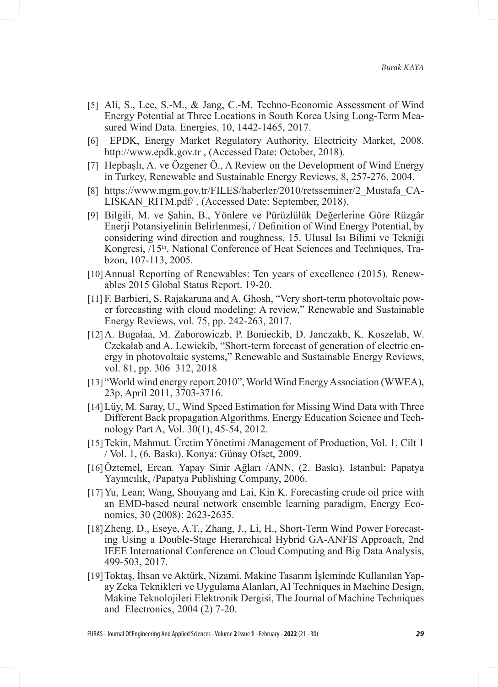- [5] Ali, S., Lee, S.-M., & Jang, C.-M. Techno-Economic Assessment of Wind Energy Potential at Three Locations in South Korea Using Long-Term Measured Wind Data. Energies, 10, 1442-1465, 2017.
- [6] EPDK, Energy Market Regulatory Authority, Electricity Market, 2008. http://www.epdk.gov.tr , (Accessed Date: October, 2018).
- [7] Hepbaşlı, A. ve Özgener Ö., A Review on the Development of Wind Energy in Turkey, Renewable and Sustainable Energy Reviews, 8, 257-276, 2004.
- [8] https://www.mgm.gov.tr/FILES/haberler/2010/retsseminer/2\_Mustafa\_CA-LISKAN\_RITM.pdf/ , (Accessed Date: September, 2018).
- [9] Bilgili, M. ve Şahin, B., Yönlere ve Pürüzlülük Değerlerine Göre Rüzgâr Enerji Potansiyelinin Belirlenmesi, / Definition of Wind Energy Potential, by considering wind direction and roughness, 15. Ulusal Isı Bilimi ve Tekniği Kongresi, /15<sup>th</sup>. National Conference of Heat Sciences and Techniques, Trabzon, 107-113, 2005.
- [10]Annual Reporting of Renewables: Ten years of excellence (2015). Renewables 2015 Global Status Report. 19-20.
- [11] F. Barbieri, S. Rajakaruna and A. Ghosh, "Very short-term photovoltaic power forecasting with cloud modeling: A review," Renewable and Sustainable Energy Reviews, vol. 75, pp. 242-263, 2017.
- [12]A. Bugałaa, M. Zaborowiczb, P. Bonieckib, D. Janczakb, K. Koszelab, W. Czekałab and A. Lewickib, "Short-term forecast of generation of electric energy in photovoltaic systems," Renewable and Sustainable Energy Reviews, vol. 81, pp. 306–312, 2018
- [13] "World wind energy report 2010", World Wind Energy Association (WWEA), 23p, April 2011, 3703-3716.
- [14]Lüy, M. Saray, U., Wind Speed Estimation for Missing Wind Data with Three Different Back propagation Algorithms. Energy Education Science and Technology Part A, Vol. 30(1), 45-54, 2012.
- [15]Tekin, Mahmut. Üretim Yönetimi /Management of Production, Vol. 1, Cilt 1 / Vol. 1, (6. Baskı). Konya: Günay Ofset, 2009.
- [16]Öztemel, Ercan. Yapay Sinir Ağları /ANN, (2. Baskı). Istanbul: Papatya Yayıncılık, /Papatya Publishing Company, 2006.
- [17]Yu, Lean; Wang, Shouyang and Lai, Kin K. Forecasting crude oil price with an EMD-based neural network ensemble learning paradigm, Energy Economics, 30 (2008): 2623-2635.
- [18]Zheng, D., Eseye, A.T., Zhang, J., Li, H., Short-Term Wind Power Forecasting Using a Double-Stage Hierarchical Hybrid GA-ANFIS Approach, 2nd IEEE International Conference on Cloud Computing and Big Data Analysis, 499-503, 2017.
- [19]Toktaş, İhsan ve Aktürk, Nizami. Makine Tasarım İşleminde Kullanılan Yapay Zeka Teknikleri ve Uygulama Alanları, AI Techniques in Machine Design, Makine Teknolojileri Elektronik Dergisi, The Journal of Machine Techniques and Electronics, 2004 (2) 7-20.